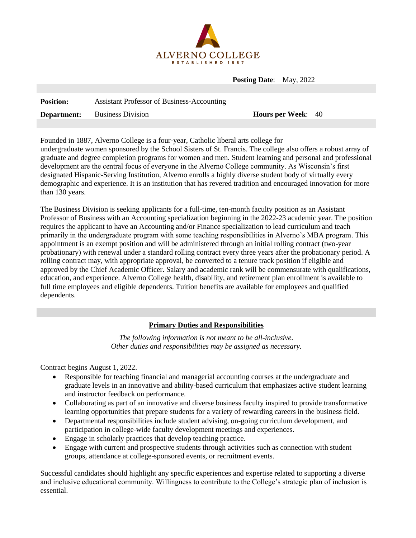

**Posting Date**: May, 2022

| <b>Position:</b> | <b>Assistant Professor of Business-Accounting</b> |                           |  |
|------------------|---------------------------------------------------|---------------------------|--|
| Department:      | <b>Business Division</b>                          | <b>Hours per Week:</b> 40 |  |

Founded in 1887, Alverno College is a four-year, Catholic liberal arts college for undergraduate women sponsored by the School Sisters of St. Francis. The college also offers a robust array of graduate and degree completion programs for women and men. Student learning and personal and professional development are the central focus of everyone in the Alverno College community. As Wisconsin's first designated Hispanic-Serving Institution, Alverno enrolls a highly diverse student body of virtually every demographic and experience. It is an institution that has revered tradition and encouraged innovation for more than 130 years.

The Business Division is seeking applicants for a full-time, ten-month faculty position as an Assistant Professor of Business with an Accounting specialization beginning in the 2022-23 academic year. The position requires the applicant to have an Accounting and/or Finance specialization to lead curriculum and teach primarily in the undergraduate program with some teaching responsibilities in Alverno's MBA program. This appointment is an exempt position and will be administered through an initial rolling contract (two-year probationary) with renewal under a standard rolling contract every three years after the probationary period. A rolling contract may, with appropriate approval, be converted to a tenure track position if eligible and approved by the Chief Academic Officer. Salary and academic rank will be commensurate with qualifications, education, and experience. Alverno College health, disability, and retirement plan enrollment is available to full time employees and eligible dependents. Tuition benefits are available for employees and qualified dependents.

## **Primary Duties and Responsibilities**

*The following information is not meant to be all-inclusive. Other duties and responsibilities may be assigned as necessary.*

Contract begins August 1, 2022.

- Responsible for teaching financial and managerial accounting courses at the undergraduate and graduate levels in an innovative and ability-based curriculum that emphasizes active student learning and instructor feedback on performance.
- Collaborating as part of an innovative and diverse business faculty inspired to provide transformative learning opportunities that prepare students for a variety of rewarding careers in the business field.
- Departmental responsibilities include student advising, on-going curriculum development, and participation in college-wide faculty development meetings and experiences.
- Engage in scholarly practices that develop teaching practice.
- Engage with current and prospective students through activities such as connection with student groups, attendance at college-sponsored events, or recruitment events.

Successful candidates should highlight any specific experiences and expertise related to supporting a diverse and inclusive educational community. Willingness to contribute to the College's strategic plan of inclusion is essential.